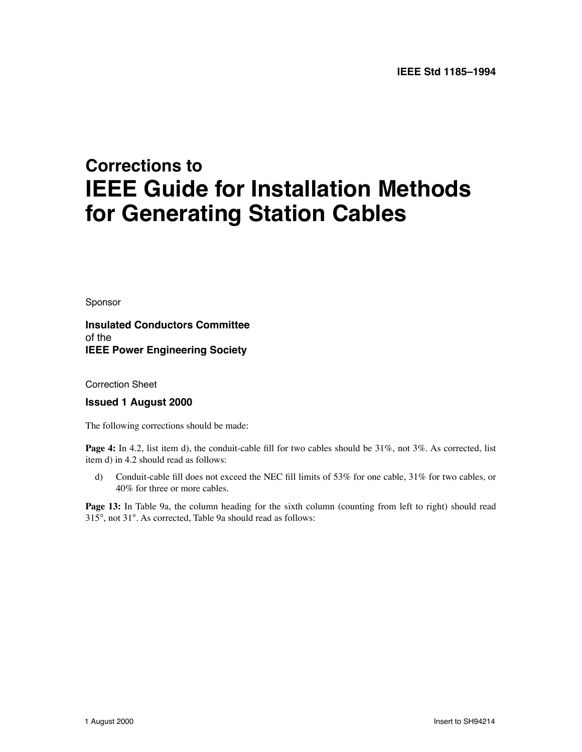## **Corrections to IEEE Guide for Installation Methods for Generating Station Cables**

*Sponsor*

**Insulated Conductors Committee** *of the* **IEEE Power Engineering Society**

*Correction Sheet*

## **Issued 1 August 2000**

The following corrections should be made:

**Page 4:** In 4.2, list item d), the conduit-cable fill for two cables should be 31%, not 3%. As corrected, list item d) in 4.2 should read as follows:

d) Conduit-cable fill does not exceed the NEC fill limits of 53% for one cable, 31% for two cables, or 40% for three or more cables.

Page 13: In Table 9a, the column heading for the sixth column (counting from left to right) should read 315°, not 31°. As corrected, Table 9a should read as follows: